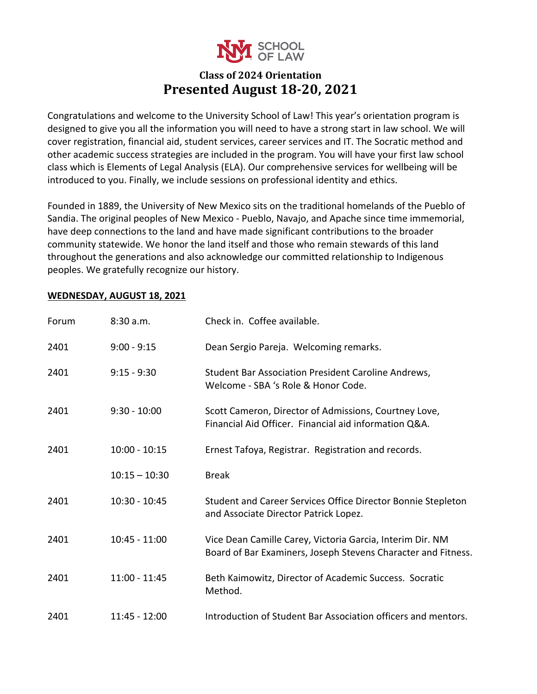

## **Class of 2024 Orientation Presented August 18-20, 2021**

Congratulations and welcome to the University School of Law! This year's orientation program is designed to give you all the information you will need to have a strong start in law school. We will cover registration, financial aid, student services, career services and IT. The Socratic method and other academic success strategies are included in the program. You will have your first law school class which is Elements of Legal Analysis (ELA). Our comprehensive services for wellbeing will be introduced to you. Finally, we include sessions on professional identity and ethics.

Founded in 1889, the University of New Mexico sits on the traditional homelands of the Pueblo of Sandia. The original peoples of New Mexico - Pueblo, Navajo, and Apache since time immemorial, have deep connections to the land and have made significant contributions to the broader community statewide. We honor the land itself and those who remain stewards of this land throughout the generations and also acknowledge our committed relationship to Indigenous peoples. We gratefully recognize our history.

### **WEDNESDAY, AUGUST 18, 2021**

| Forum | 8:30 a.m.       | Check in. Coffee available.                                                                                                |
|-------|-----------------|----------------------------------------------------------------------------------------------------------------------------|
| 2401  | $9:00 - 9:15$   | Dean Sergio Pareja. Welcoming remarks.                                                                                     |
| 2401  | $9:15 - 9:30$   | Student Bar Association President Caroline Andrews,<br>Welcome - SBA 's Role & Honor Code.                                 |
| 2401  | $9:30 - 10:00$  | Scott Cameron, Director of Admissions, Courtney Love,<br>Financial Aid Officer. Financial aid information Q&A.             |
| 2401  | $10:00 - 10:15$ | Ernest Tafoya, Registrar. Registration and records.                                                                        |
|       | $10:15 - 10:30$ | <b>Break</b>                                                                                                               |
| 2401  | $10:30 - 10:45$ | Student and Career Services Office Director Bonnie Stepleton<br>and Associate Director Patrick Lopez.                      |
| 2401  | $10:45 - 11:00$ | Vice Dean Camille Carey, Victoria Garcia, Interim Dir. NM<br>Board of Bar Examiners, Joseph Stevens Character and Fitness. |
| 2401  | $11:00 - 11:45$ | Beth Kaimowitz, Director of Academic Success. Socratic<br>Method.                                                          |
| 2401  | 11:45 - 12:00   | Introduction of Student Bar Association officers and mentors.                                                              |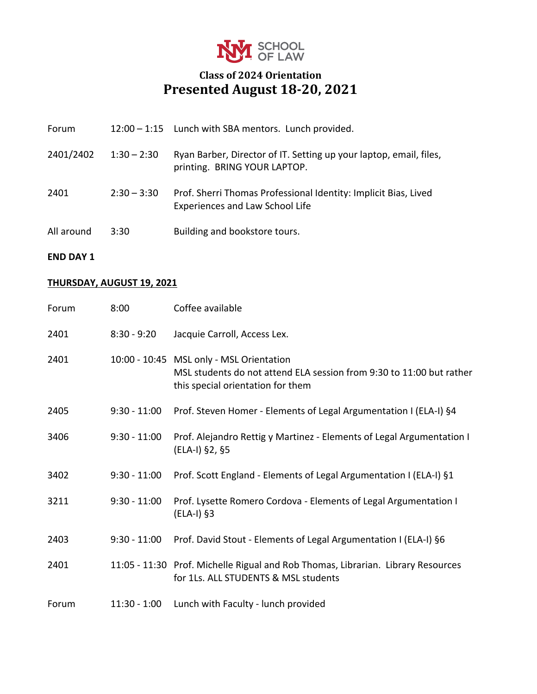

# **Class of 2024 Orientation Presented August 18-20, 2021**

| Forum      |               | 12:00 - 1:15 Lunch with SBA mentors. Lunch provided.                                                      |
|------------|---------------|-----------------------------------------------------------------------------------------------------------|
| 2401/2402  | $1:30 - 2:30$ | Ryan Barber, Director of IT. Setting up your laptop, email, files,<br>printing. BRING YOUR LAPTOP.        |
| 2401       | $2:30 - 3:30$ | Prof. Sherri Thomas Professional Identity: Implicit Bias, Lived<br><b>Experiences and Law School Life</b> |
| All around | 3:30          | Building and bookstore tours.                                                                             |

## **END DAY 1**

## **THURSDAY, AUGUST 19, 2021**

| Forum | 8:00           | Coffee available                                                                                                                                      |
|-------|----------------|-------------------------------------------------------------------------------------------------------------------------------------------------------|
| 2401  | $8:30 - 9:20$  | Jacquie Carroll, Access Lex.                                                                                                                          |
| 2401  |                | 10:00 - 10:45 MSL only - MSL Orientation<br>MSL students do not attend ELA session from 9:30 to 11:00 but rather<br>this special orientation for them |
| 2405  | $9:30 - 11:00$ | Prof. Steven Homer - Elements of Legal Argumentation I (ELA-I) §4                                                                                     |
| 3406  | $9:30 - 11:00$ | Prof. Alejandro Rettig y Martinez - Elements of Legal Argumentation I<br>(ELA-I) §2, §5                                                               |
| 3402  | $9:30 - 11:00$ | Prof. Scott England - Elements of Legal Argumentation I (ELA-I) §1                                                                                    |
| 3211  | $9:30 - 11:00$ | Prof. Lysette Romero Cordova - Elements of Legal Argumentation I<br>$(ELA-I)$ §3                                                                      |
| 2403  | $9:30 - 11:00$ | Prof. David Stout - Elements of Legal Argumentation I (ELA-I) §6                                                                                      |
| 2401  |                | 11:05 - 11:30 Prof. Michelle Rigual and Rob Thomas, Librarian. Library Resources<br>for 1Ls. ALL STUDENTS & MSL students                              |
| Forum | $11:30 - 1:00$ | Lunch with Faculty - lunch provided                                                                                                                   |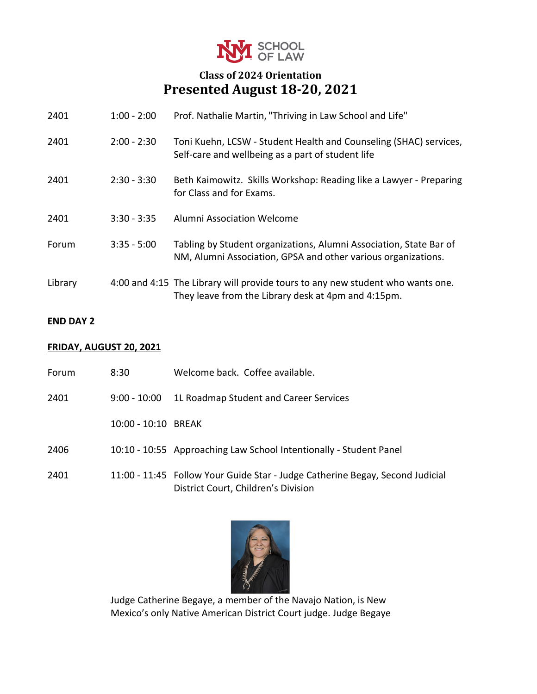

# **Class of 2024 Orientation Presented August 18-20, 2021**

| 2401    | $1:00 - 2:00$ | Prof. Nathalie Martin, "Thriving in Law School and Life"                                                                              |
|---------|---------------|---------------------------------------------------------------------------------------------------------------------------------------|
| 2401    | $2:00 - 2:30$ | Toni Kuehn, LCSW - Student Health and Counseling (SHAC) services,<br>Self-care and wellbeing as a part of student life                |
| 2401    | $2:30 - 3:30$ | Beth Kaimowitz. Skills Workshop: Reading like a Lawyer - Preparing<br>for Class and for Exams.                                        |
| 2401    | $3:30 - 3:35$ | Alumni Association Welcome                                                                                                            |
| Forum   | $3:35 - 5:00$ | Tabling by Student organizations, Alumni Association, State Bar of<br>NM, Alumni Association, GPSA and other various organizations.   |
| Library |               | 4:00 and 4:15 The Library will provide tours to any new student who wants one.<br>They leave from the Library desk at 4pm and 4:15pm. |

#### **END DAY 2**

### **FRIDAY, AUGUST 20, 2021**

| Forum | 8:30                | Welcome back. Coffee available.                                                                                      |
|-------|---------------------|----------------------------------------------------------------------------------------------------------------------|
| 2401  | $9:00 - 10:00$      | 1L Roadmap Student and Career Services                                                                               |
|       | 10:00 - 10:10 BREAK |                                                                                                                      |
| 2406  |                     | 10:10 - 10:55 Approaching Law School Intentionally - Student Panel                                                   |
| 2401  |                     | 11:00 - 11:45 Follow Your Guide Star - Judge Catherine Begay, Second Judicial<br>District Court, Children's Division |



Judge Catherine Begaye, a member of the Navajo Nation, is New Mexico's only Native American District Court judge. Judge Begaye